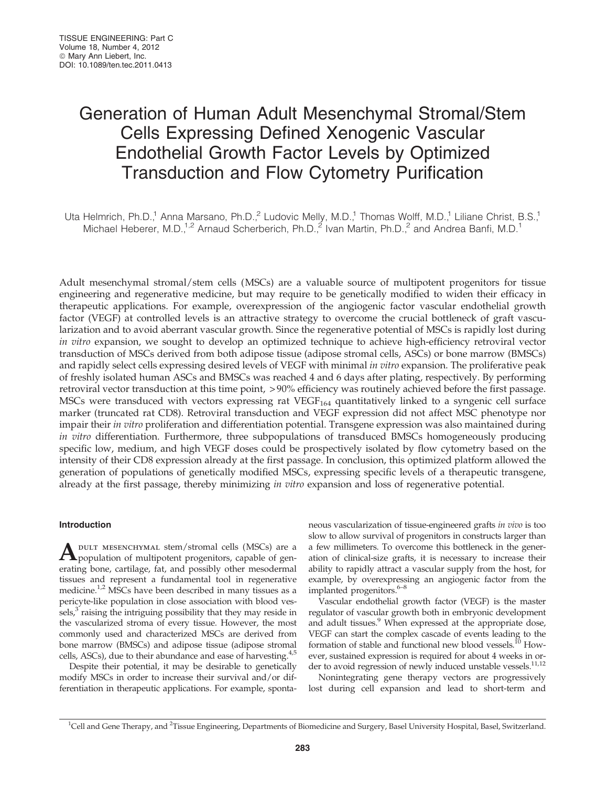# Generation of Human Adult Mesenchymal Stromal/Stem Cells Expressing Defined Xenogenic Vascular Endothelial Growth Factor Levels by Optimized Transduction and Flow Cytometry Purification

Uta Helmrich, Ph.D.,<sup>1</sup> Anna Marsano, Ph.D.,<sup>2</sup> Ludovic Melly, M.D.,<sup>1</sup> Thomas Wolff, M.D.,<sup>1</sup> Liliane Christ, B.S.,<sup>1</sup> Michael Heberer, M.D.,<sup>1,2</sup> Arnaud Scherberich, Ph.D.,<sup>2</sup> Ivan Martin, Ph.D.,<sup>2</sup> and Andrea Banfi, M.D.<sup>1</sup>

Adult mesenchymal stromal/stem cells (MSCs) are a valuable source of multipotent progenitors for tissue engineering and regenerative medicine, but may require to be genetically modified to widen their efficacy in therapeutic applications. For example, overexpression of the angiogenic factor vascular endothelial growth factor (VEGF) at controlled levels is an attractive strategy to overcome the crucial bottleneck of graft vascularization and to avoid aberrant vascular growth. Since the regenerative potential of MSCs is rapidly lost during in vitro expansion, we sought to develop an optimized technique to achieve high-efficiency retroviral vector transduction of MSCs derived from both adipose tissue (adipose stromal cells, ASCs) or bone marrow (BMSCs) and rapidly select cells expressing desired levels of VEGF with minimal in vitro expansion. The proliferative peak of freshly isolated human ASCs and BMSCs was reached 4 and 6 days after plating, respectively. By performing retroviral vector transduction at this time point, > 90% efficiency was routinely achieved before the first passage. MSCs were transduced with vectors expressing rat  $VEGF<sub>164</sub>$  quantitatively linked to a syngenic cell surface marker (truncated rat CD8). Retroviral transduction and VEGF expression did not affect MSC phenotype nor impair their in vitro proliferation and differentiation potential. Transgene expression was also maintained during in vitro differentiation. Furthermore, three subpopulations of transduced BMSCs homogeneously producing specific low, medium, and high VEGF doses could be prospectively isolated by flow cytometry based on the intensity of their CD8 expression already at the first passage. In conclusion, this optimized platform allowed the generation of populations of genetically modified MSCs, expressing specific levels of a therapeutic transgene, already at the first passage, thereby minimizing in vitro expansion and loss of regenerative potential.

# Introduction

A DULT MESENCHYMAL stem/stromal cells (MSCs) are a population of multipotent progenitors, capable of generating bone, cartilage, fat, and possibly other mesodermal tissues and represent a fundamental tool in regenerative medicine.<sup>1,2</sup> MSCs have been described in many tissues as a pericyte-like population in close association with blood vessels, $3$  raising the intriguing possibility that they may reside in the vascularized stroma of every tissue. However, the most commonly used and characterized MSCs are derived from bone marrow (BMSCs) and adipose tissue (adipose stromal cells, ASCs), due to their abundance and ease of harvesting. $4,5$ 

Despite their potential, it may be desirable to genetically modify MSCs in order to increase their survival and/or differentiation in therapeutic applications. For example, spontaneous vascularization of tissue-engineered grafts in vivo is too slow to allow survival of progenitors in constructs larger than a few millimeters. To overcome this bottleneck in the generation of clinical-size grafts, it is necessary to increase their ability to rapidly attract a vascular supply from the host, for example, by overexpressing an angiogenic factor from the implanted progenitors. $6-8$ 

Vascular endothelial growth factor (VEGF) is the master regulator of vascular growth both in embryonic development and adult tissues.<sup>9</sup> When expressed at the appropriate dose, VEGF can start the complex cascade of events leading to the formation of stable and functional new blood vessels.10 However, sustained expression is required for about 4 weeks in order to avoid regression of newly induced unstable vessels.<sup>11,12</sup>

Nonintegrating gene therapy vectors are progressively lost during cell expansion and lead to short-term and

<sup>&</sup>lt;sup>1</sup>Cell and Gene Therapy, and <sup>2</sup>Tissue Engineering, Departments of Biomedicine and Surgery, Basel University Hospital, Basel, Switzerland.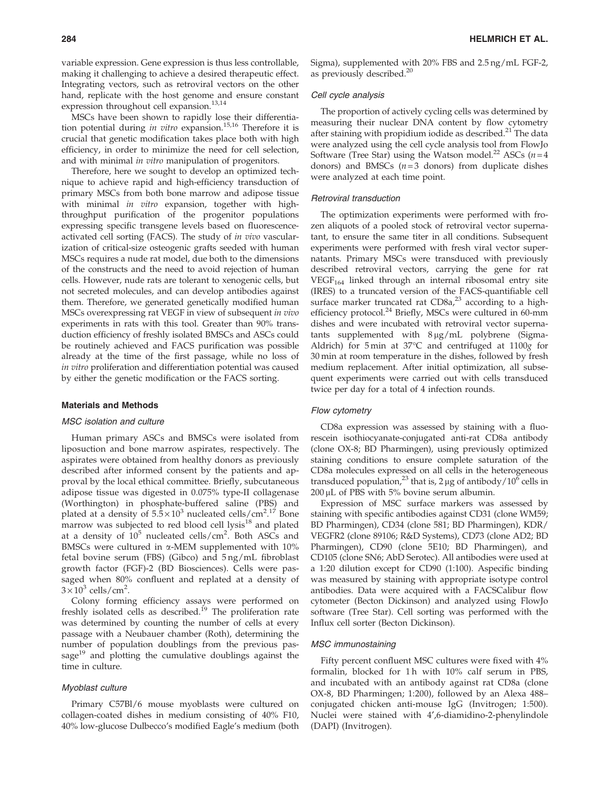variable expression. Gene expression is thus less controllable, making it challenging to achieve a desired therapeutic effect. Integrating vectors, such as retroviral vectors on the other hand, replicate with the host genome and ensure constant expression throughout cell expansion.<sup>13,14</sup>

MSCs have been shown to rapidly lose their differentiation potential during in vitro expansion.<sup>15,16</sup> Therefore it is crucial that genetic modification takes place both with high efficiency, in order to minimize the need for cell selection, and with minimal *in vitro* manipulation of progenitors.

Therefore, here we sought to develop an optimized technique to achieve rapid and high-efficiency transduction of primary MSCs from both bone marrow and adipose tissue with minimal in vitro expansion, together with highthroughput purification of the progenitor populations expressing specific transgene levels based on fluorescenceactivated cell sorting (FACS). The study of in vivo vascularization of critical-size osteogenic grafts seeded with human MSCs requires a nude rat model, due both to the dimensions of the constructs and the need to avoid rejection of human cells. However, nude rats are tolerant to xenogenic cells, but not secreted molecules, and can develop antibodies against them. Therefore, we generated genetically modified human MSCs overexpressing rat VEGF in view of subsequent in vivo experiments in rats with this tool. Greater than 90% transduction efficiency of freshly isolated BMSCs and ASCs could be routinely achieved and FACS purification was possible already at the time of the first passage, while no loss of in vitro proliferation and differentiation potential was caused by either the genetic modification or the FACS sorting.

#### Materials and Methods

## MSC isolation and culture

Human primary ASCs and BMSCs were isolated from liposuction and bone marrow aspirates, respectively. The aspirates were obtained from healthy donors as previously described after informed consent by the patients and approval by the local ethical committee. Briefly, subcutaneous adipose tissue was digested in 0.075% type-II collagenase (Worthington) in phosphate-buffered saline (PBS) and plated at a density of  $5.\bar{5} \times 10^3$  nucleated cells/cm<sup>2</sup>.<sup>17</sup> Bone marrow was subjected to red blood cell lysis $18$  and plated at a density of  $10^5$  nucleated cells/cm<sup>2</sup>. Both ASCs and BMSCs were cultured in  $\alpha$ -MEM supplemented with 10% fetal bovine serum (FBS) (Gibco) and 5 ng/mL fibroblast growth factor (FGF)-2 (BD Biosciences). Cells were passaged when 80% confluent and replated at a density of  $3 \times 10^3$  cells/cm<sup>2</sup>.

Colony forming efficiency assays were performed on freshly isolated cells as described.<sup>19</sup> The proliferation rate was determined by counting the number of cells at every passage with a Neubauer chamber (Roth), determining the number of population doublings from the previous passage $19$  and plotting the cumulative doublings against the time in culture.

# Myoblast culture

Primary C57Bl/6 mouse myoblasts were cultured on collagen-coated dishes in medium consisting of 40% F10, 40% low-glucose Dulbecco's modified Eagle's medium (both Sigma), supplemented with 20% FBS and 2.5 ng/mL FGF-2, as previously described. $20$ 

#### Cell cycle analysis

The proportion of actively cycling cells was determined by measuring their nuclear DNA content by flow cytometry after staining with propidium iodide as described.<sup>21</sup> The data were analyzed using the cell cycle analysis tool from FlowJo Software (Tree Star) using the Watson model.<sup>22</sup> ASCs ( $n=4$ ) donors) and BMSCs  $(n=3$  donors) from duplicate dishes were analyzed at each time point.

## Retroviral transduction

The optimization experiments were performed with frozen aliquots of a pooled stock of retroviral vector supernatant, to ensure the same titer in all conditions. Subsequent experiments were performed with fresh viral vector supernatants. Primary MSCs were transduced with previously described retroviral vectors, carrying the gene for rat  $VEGF<sub>164</sub>$  linked through an internal ribosomal entry site (IRES) to a truncated version of the FACS-quantifiable cell surface marker truncated rat  $CD8a<sup>23</sup>$  according to a highefficiency protocol.<sup>24</sup> Briefly, MSCs were cultured in 60-mm dishes and were incubated with retroviral vector supernatants supplemented with  $8 \mu g/mL$  polybrene (Sigma-Aldrich) for  $5 \text{ min}$  at  $37^{\circ}\text{C}$  and centrifuged at  $1100$ g for 30 min at room temperature in the dishes, followed by fresh medium replacement. After initial optimization, all subsequent experiments were carried out with cells transduced twice per day for a total of 4 infection rounds.

#### Flow cytometry

CD8a expression was assessed by staining with a fluorescein isothiocyanate-conjugated anti-rat CD8a antibody (clone OX-8; BD Pharmingen), using previously optimized staining conditions to ensure complete saturation of the CD8a molecules expressed on all cells in the heterogeneous transduced population,<sup>23</sup> that is, 2 µg of antibody/10<sup>6</sup> cells in  $200 \mu L$  of PBS with 5% bovine serum albumin.

Expression of MSC surface markers was assessed by staining with specific antibodies against CD31 (clone WM59; BD Pharmingen), CD34 (clone 581; BD Pharmingen), KDR/ VEGFR2 (clone 89106; R&D Systems), CD73 (clone AD2; BD Pharmingen), CD90 (clone 5E10; BD Pharmingen), and CD105 (clone SN6; AbD Serotec). All antibodies were used at a 1:20 dilution except for CD90 (1:100). Aspecific binding was measured by staining with appropriate isotype control antibodies. Data were acquired with a FACSCalibur flow cytometer (Becton Dickinson) and analyzed using FlowJo software (Tree Star). Cell sorting was performed with the Influx cell sorter (Becton Dickinson).

# MSC immunostaining

Fifty percent confluent MSC cultures were fixed with 4% formalin, blocked for 1h with 10% calf serum in PBS, and incubated with an antibody against rat CD8a (clone OX-8, BD Pharmingen; 1:200), followed by an Alexa 488– conjugated chicken anti-mouse IgG (Invitrogen; 1:500). Nuclei were stained with 4',6-diamidino-2-phenylindole (DAPI) (Invitrogen).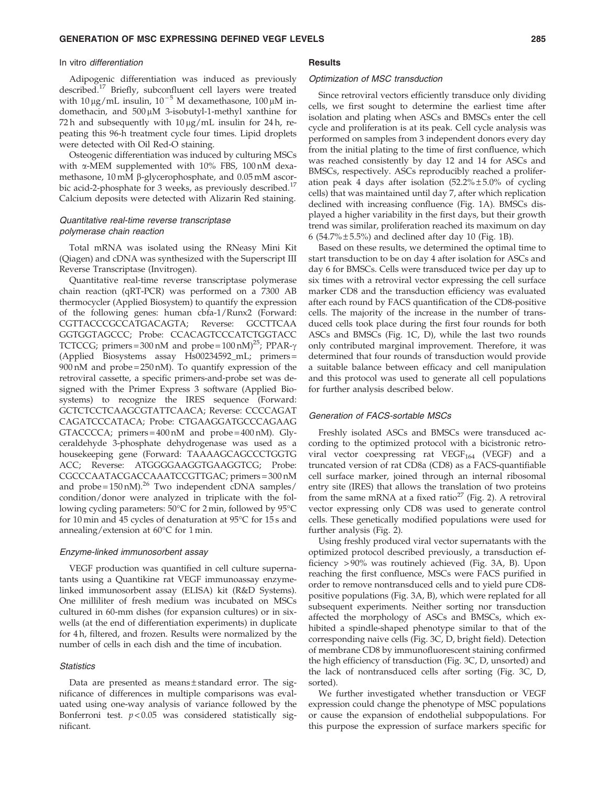## In vitro differentiation

Adipogenic differentiation was induced as previously described.<sup>17</sup> Briefly, subconfluent cell layers were treated with  $10 \mu g/mL$  insulin,  $10^{-5}$  M dexamethasone,  $100 \mu M$  indomethacin, and  $500 \mu M$  3-isobutyl-1-methyl xanthine for 72 h and subsequently with  $10 \mu g/mL$  insulin for 24 h, repeating this 96-h treatment cycle four times. Lipid droplets were detected with Oil Red-O staining.

Osteogenic differentiation was induced by culturing MSCs with  $\alpha$ -MEM supplemented with 10% FBS, 100 nM dexamethasone, 10 mM β-glycerophosphate, and 0.05 mM ascorbic acid-2-phosphate for 3 weeks, as previously described.<sup>17</sup> Calcium deposits were detected with Alizarin Red staining.

# Quantitative real-time reverse transcriptase polymerase chain reaction

Total mRNA was isolated using the RNeasy Mini Kit (Qiagen) and cDNA was synthesized with the Superscript III Reverse Transcriptase (Invitrogen).

Quantitative real-time reverse transcriptase polymerase chain reaction (qRT-PCR) was performed on a 7300 AB thermocycler (Applied Biosystem) to quantify the expression of the following genes: human cbfa-1/Runx2 (Forward: CGTTACCCGCCATGACAGTA; Reverse: GCCTTCAA GGTGGTAGCCC; Probe: CCACAGTCCCATCTGGTACC TCTCCG; primers = 300 nM and probe =  $100 \text{ nM}$ <sup>25</sup>; PPAR- $\gamma$ (Applied Biosystems assay Hs00234592\_mL; primers = 900 nM and probe = 250 nM). To quantify expression of the retroviral cassette, a specific primers-and-probe set was designed with the Primer Express 3 software (Applied Biosystems) to recognize the IRES sequence (Forward: GCTCTCCTCAAGCGTATTCAACA; Reverse: CCCCAGAT CAGATCCCATACA; Probe: CTGAAGGATGCCCAGAAG GTACCCCA; primers = 400 nM and probe = 400 nM). Glyceraldehyde 3-phosphate dehydrogenase was used as a housekeeping gene (Forward: TAAAAGCAGCCCTGGTG ACC; Reverse: ATGGGGAAGGTGAAGGTCG; Probe: CGCCCAATACGACCAAATCCGTTGAC; primers = 300 nM and  $probe = 150 \text{ nM}$ .<sup>26</sup> Two independent cDNA samples/ condition/donor were analyzed in triplicate with the following cycling parameters: 50°C for 2 min, followed by 95°C for 10 min and 45 cycles of denaturation at  $95^{\circ}$ C for 15 s and annealing/extension at 60°C for 1 min.

## Enzyme-linked immunosorbent assay

VEGF production was quantified in cell culture supernatants using a Quantikine rat VEGF immunoassay enzymelinked immunosorbent assay (ELISA) kit (R&D Systems). One milliliter of fresh medium was incubated on MSCs cultured in 60-mm dishes (for expansion cultures) or in sixwells (at the end of differentiation experiments) in duplicate for 4 h, filtered, and frozen. Results were normalized by the number of cells in each dish and the time of incubation.

# **Statistics**

Data are presented as means $\pm$ standard error. The significance of differences in multiple comparisons was evaluated using one-way analysis of variance followed by the Bonferroni test.  $p < 0.05$  was considered statistically significant.

# **Results**

#### Optimization of MSC transduction

Since retroviral vectors efficiently transduce only dividing cells, we first sought to determine the earliest time after isolation and plating when ASCs and BMSCs enter the cell cycle and proliferation is at its peak. Cell cycle analysis was performed on samples from 3 independent donors every day from the initial plating to the time of first confluence, which was reached consistently by day 12 and 14 for ASCs and BMSCs, respectively. ASCs reproducibly reached a proliferation peak 4 days after isolation  $(52.2\% \pm 5.0\%$  of cycling cells) that was maintained until day 7, after which replication declined with increasing confluence (Fig. 1A). BMSCs displayed a higher variability in the first days, but their growth trend was similar, proliferation reached its maximum on day 6 (54.7% $\pm$  5.5%) and declined after day 10 (Fig. 1B).

Based on these results, we determined the optimal time to start transduction to be on day 4 after isolation for ASCs and day 6 for BMSCs. Cells were transduced twice per day up to six times with a retroviral vector expressing the cell surface marker CD8 and the transduction efficiency was evaluated after each round by FACS quantification of the CD8-positive cells. The majority of the increase in the number of transduced cells took place during the first four rounds for both ASCs and BMSCs (Fig. 1C, D), while the last two rounds only contributed marginal improvement. Therefore, it was determined that four rounds of transduction would provide a suitable balance between efficacy and cell manipulation and this protocol was used to generate all cell populations for further analysis described below.

#### Generation of FACS-sortable MSCs

Freshly isolated ASCs and BMSCs were transduced according to the optimized protocol with a bicistronic retroviral vector coexpressing rat VEGF<sub>164</sub> (VEGF) and a truncated version of rat CD8a (CD8) as a FACS-quantifiable cell surface marker, joined through an internal ribosomal entry site (IRES) that allows the translation of two proteins from the same mRNA at a fixed ratio<sup>27</sup> (Fig. 2). A retroviral vector expressing only CD8 was used to generate control cells. These genetically modified populations were used for further analysis (Fig. 2).

Using freshly produced viral vector supernatants with the optimized protocol described previously, a transduction efficiency > 90% was routinely achieved (Fig. 3A, B). Upon reaching the first confluence, MSCs were FACS purified in order to remove nontransduced cells and to yield pure CD8 positive populations (Fig. 3A, B), which were replated for all subsequent experiments. Neither sorting nor transduction affected the morphology of ASCs and BMSCs, which exhibited a spindle-shaped phenotype similar to that of the corresponding naive cells (Fig. 3C, D, bright field). Detection of membrane CD8 by immunofluorescent staining confirmed the high efficiency of transduction (Fig. 3C, D, unsorted) and the lack of nontransduced cells after sorting (Fig. 3C, D, sorted).

We further investigated whether transduction or VEGF expression could change the phenotype of MSC populations or cause the expansion of endothelial subpopulations. For this purpose the expression of surface markers specific for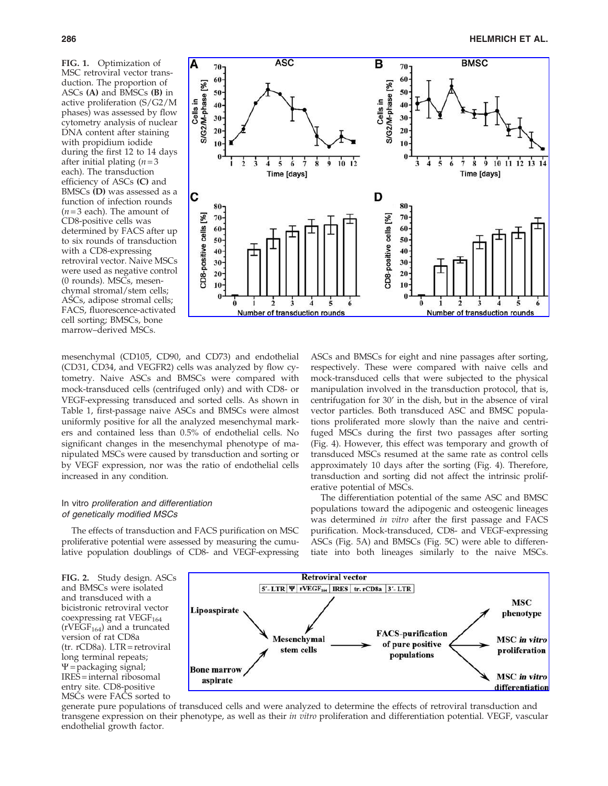FIG. 1. Optimization of MSC retroviral vector transduction. The proportion of ASCs (A) and BMSCs (B) in active proliferation (S/G2/M phases) was assessed by flow cytometry analysis of nuclear DNA content after staining with propidium iodide during the first 12 to 14 days after initial plating  $(n=3)$ each). The transduction efficiency of ASCs (C) and BMSCs (D) was assessed as a function of infection rounds  $(n=3 \text{ each})$ . The amount of CD8-positive cells was determined by FACS after up to six rounds of transduction with a CD8-expressing retroviral vector. Naive MSCs were used as negative control (0 rounds). MSCs, mesenchymal stromal/stem cells; ASCs, adipose stromal cells; FACS, fluorescence-activated cell sorting; BMSCs, bone marrow–derived MSCs.



mesenchymal (CD105, CD90, and CD73) and endothelial (CD31, CD34, and VEGFR2) cells was analyzed by flow cytometry. Naive ASCs and BMSCs were compared with mock-transduced cells (centrifuged only) and with CD8- or VEGF-expressing transduced and sorted cells. As shown in Table 1, first-passage naive ASCs and BMSCs were almost uniformly positive for all the analyzed mesenchymal markers and contained less than 0.5% of endothelial cells. No significant changes in the mesenchymal phenotype of manipulated MSCs were caused by transduction and sorting or by VEGF expression, nor was the ratio of endothelial cells increased in any condition.

# In vitro proliferation and differentiation of genetically modified MSCs

The effects of transduction and FACS purification on MSC proliferative potential were assessed by measuring the cumulative population doublings of CD8- and VEGF-expressing ASCs and BMSCs for eight and nine passages after sorting, respectively. These were compared with naive cells and mock-transduced cells that were subjected to the physical manipulation involved in the transduction protocol, that is, centrifugation for 30' in the dish, but in the absence of viral vector particles. Both transduced ASC and BMSC populations proliferated more slowly than the naive and centrifuged MSCs during the first two passages after sorting (Fig. 4). However, this effect was temporary and growth of transduced MSCs resumed at the same rate as control cells approximately 10 days after the sorting (Fig. 4). Therefore, transduction and sorting did not affect the intrinsic proliferative potential of MSCs.

The differentiation potential of the same ASC and BMSC populations toward the adipogenic and osteogenic lineages was determined in vitro after the first passage and FACS purification. Mock-transduced, CD8- and VEGF-expressing ASCs (Fig. 5A) and BMSCs (Fig. 5C) were able to differentiate into both lineages similarly to the naive MSCs.

FIG. 2. Study design. ASCs and BMSCs were isolated and transduced with a bicistronic retroviral vector coexpressing rat  $VEGF<sub>164</sub>$ (rVEGF<sub>164</sub>) and a truncated version of rat CD8a (tr. rCD8a). LTR = retroviral long terminal repeats;  $\Psi$  = packaging signal; IRES = internal ribosomal entry site. CD8-positive MSCs were FACS sorted to



generate pure populations of transduced cells and were analyzed to determine the effects of retroviral transduction and transgene expression on their phenotype, as well as their in vitro proliferation and differentiation potential. VEGF, vascular endothelial growth factor.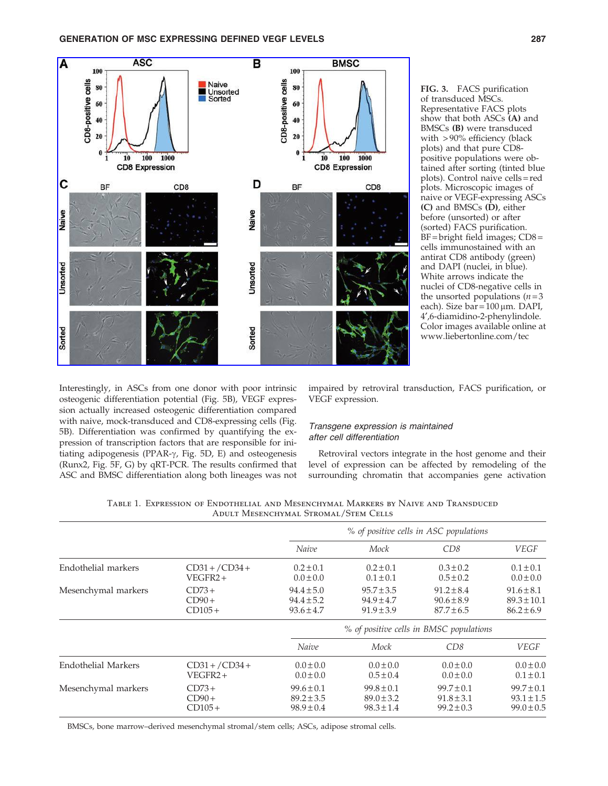

FIG. 3. FACS purification of transduced MSCs. Representative FACS plots show that both ASCs (A) and BMSCs (B) were transduced with > 90% efficiency (black plots) and that pure CD8 positive populations were obtained after sorting (tinted blue plots). Control naive cells = red plots. Microscopic images of naive or VEGF-expressing ASCs (C) and BMSCs (D), either before (unsorted) or after (sorted) FACS purification. BF = bright field images; CD8 = cells immunostained with an antirat CD8 antibody (green) and DAPI (nuclei, in blue). White arrows indicate the nuclei of CD8-negative cells in the unsorted populations  $(n=3)$ each). Size  $bar = 100 \mu m$ . DAPI, 4¢,6-diamidino-2-phenylindole. Color images available online at www.liebertonline.com/tec

Interestingly, in ASCs from one donor with poor intrinsic osteogenic differentiation potential (Fig. 5B), VEGF expression actually increased osteogenic differentiation compared with naive, mock-transduced and CD8-expressing cells (Fig. 5B). Differentiation was confirmed by quantifying the expression of transcription factors that are responsible for initiating adipogenesis (PPAR-g, Fig. 5D, E) and osteogenesis (Runx2, Fig. 5F, G) by qRT-PCR. The results confirmed that ASC and BMSC differentiation along both lineages was not impaired by retroviral transduction, FACS purification, or VEGF expression.

# Transgene expression is maintained after cell differentiation

Retroviral vectors integrate in the host genome and their level of expression can be affected by remodeling of the surrounding chromatin that accompanies gene activation

|  | Table 1. Expression of Endothelial and Mesenchymal Markers by Naive and Transduced |                                      |  |  |  |  |
|--|------------------------------------------------------------------------------------|--------------------------------------|--|--|--|--|
|  |                                                                                    | ADULT MESENCHYMAL STROMAL/STEM CELLS |  |  |  |  |

|                            |                  |                | % of positive cells in ASC populations  |                |                 |  |  |  |  |
|----------------------------|------------------|----------------|-----------------------------------------|----------------|-----------------|--|--|--|--|
|                            |                  | Naive          | Mock                                    | CD8            | VEGF            |  |  |  |  |
| Endothelial markers        | $CD31 + /CD34 +$ | $0.2 \pm 0.1$  | $0.2 \pm 0.1$                           | $0.3 \pm 0.2$  | $0.1 \pm 0.1$   |  |  |  |  |
|                            | $VEGFR2+$        | $0.0 \pm 0.0$  | $0.1 \pm 0.1$                           | $0.5 \pm 0.2$  | $0.0 \pm 0.0$   |  |  |  |  |
| Mesenchymal markers        | $CD73+$          | $94.4 \pm 5.0$ | $95.7 \pm 3.5$                          | $91.2 \pm 8.4$ | $91.6 \pm 8.1$  |  |  |  |  |
|                            | $CD90+$          | $94.4 \pm 5.2$ | $94.9 \pm 4.7$                          | $90.6 \pm 8.9$ | $89.3 \pm 10.1$ |  |  |  |  |
|                            | $CD105+$         | $93.6 \pm 4.7$ | $91.9 \pm 3.9$                          | $87.7 \pm 6.5$ | $86.2 \pm 6.9$  |  |  |  |  |
|                            |                  |                | % of positive cells in BMSC populations |                |                 |  |  |  |  |
|                            |                  | Naive          | Mock                                    | CD8            | <b>VEGF</b>     |  |  |  |  |
| <b>Endothelial Markers</b> | $CD31 + /CD34 +$ | $0.0 \pm 0.0$  | $0.0 \pm 0.0$                           | $0.0 \pm 0.0$  | $0.0 \pm 0.0$   |  |  |  |  |
|                            | VEGFR2+          | $0.0 \pm 0.0$  | $0.5 \pm 0.4$                           | $0.0 \pm 0.0$  | $0.1 \pm 0.1$   |  |  |  |  |
| Mesenchymal markers        | $CD73+$          | $99.6 \pm 0.1$ | $99.8 \pm 0.1$                          | $99.7 \pm 0.1$ | $99.7 \pm 0.1$  |  |  |  |  |
|                            | $CD90+$          | $89.2 \pm 3.5$ | $89.0 \pm 3.2$                          | $91.8 \pm 3.1$ | $93.1 \pm 1.5$  |  |  |  |  |
|                            | $CD105+$         | $98.9 \pm 0.4$ | $98.3 \pm 1.4$                          | $99.2 \pm 0.3$ | $99.0 \pm 0.5$  |  |  |  |  |

BMSCs, bone marrow–derived mesenchymal stromal/stem cells; ASCs, adipose stromal cells.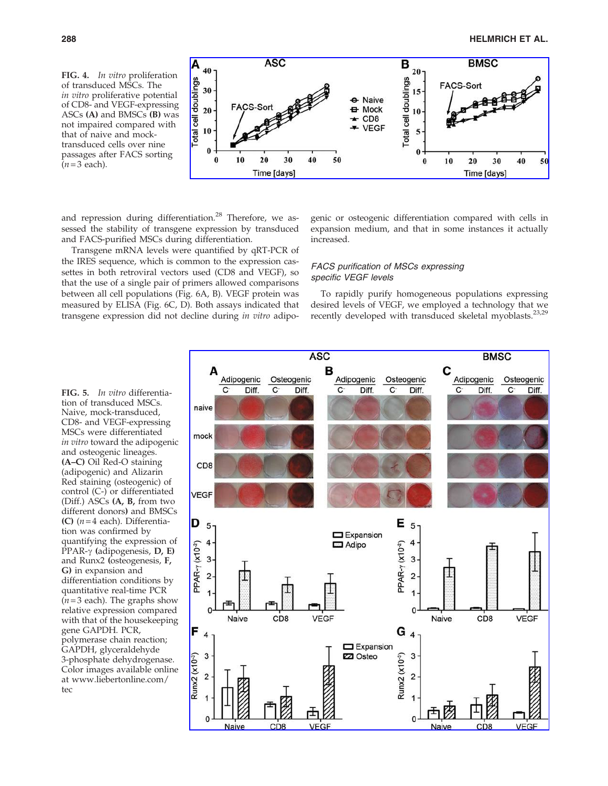FIG. 4. In vitro proliferation of transduced MSCs. The in vitro proliferative potential of CD8- and VEGF-expressing ASCs (A) and BMSCs (B) was not impaired compared with that of naive and mocktransduced cells over nine passages after FACS sorting  $(n=3$  each).



and repression during differentiation.<sup>28</sup> Therefore, we assessed the stability of transgene expression by transduced and FACS-purified MSCs during differentiation.

Transgene mRNA levels were quantified by qRT-PCR of the IRES sequence, which is common to the expression cassettes in both retroviral vectors used (CD8 and VEGF), so that the use of a single pair of primers allowed comparisons between all cell populations (Fig. 6A, B). VEGF protein was measured by ELISA (Fig. 6C, D). Both assays indicated that transgene expression did not decline during in vitro adipogenic or osteogenic differentiation compared with cells in expansion medium, and that in some instances it actually increased.

# FACS purification of MSCs expressing specific VEGF levels

To rapidly purify homogeneous populations expressing desired levels of VEGF, we employed a technology that we recently developed with transduced skeletal myoblasts.<sup>23,29</sup>

FIG. 5. In vitro differentiation of transduced MSCs. Naive, mock-transduced, CD8- and VEGF-expressing MSCs were differentiated in vitro toward the adipogenic and osteogenic lineages. (A–C) Oil Red-O staining (adipogenic) and Alizarin Red staining (osteogenic) of control (C-) or differentiated (Diff.) ASCs (A, B, from two different donors) and BMSCs (C)  $(n=4 \text{ each})$ . Differentiation was confirmed by quantifying the expression of PPAR- $\gamma$  (adipogenesis, D, E) and Runx2 (osteogenesis, F, G) in expansion and differentiation conditions by quantitative real-time PCR  $(n=3 \text{ each})$ . The graphs show relative expression compared with that of the housekeeping gene GAPDH. PCR, polymerase chain reaction; GAPDH, glyceraldehyde 3-phosphate dehydrogenase. Color images available online at www.liebertonline.com/ tec

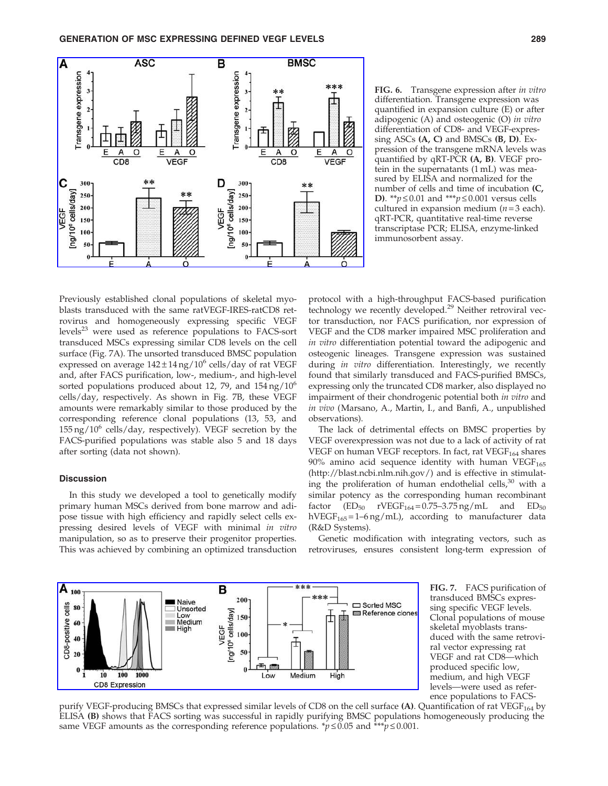

FIG. 6. Transgene expression after in vitro differentiation. Transgene expression was quantified in expansion culture (E) or after adipogenic (A) and osteogenic (O) in vitro differentiation of CD8- and VEGF-expressing ASCs (A, C) and BMSCs (B, D). Expression of the transgene mRNA levels was quantified by qRT-PCR (A, B). VEGF protein in the supernatants (1 mL) was measured by ELISA and normalized for the number of cells and time of incubation (C, **D**). \*\**p*  $\leq$  0.01 and \*\*\**p*  $\leq$  0.001 versus cells cultured in expansion medium  $(n=3 \text{ each})$ . qRT-PCR, quantitative real-time reverse transcriptase PCR; ELISA, enzyme-linked immunosorbent assay.

Previously established clonal populations of skeletal myoblasts transduced with the same ratVEGF-IRES-ratCD8 retrovirus and homogeneously expressing specific VEGF levels $^{23}$  were used as reference populations to FACS-sort transduced MSCs expressing similar CD8 levels on the cell surface (Fig. 7A). The unsorted transduced BMSC population expressed on average  $142 \pm 14$  ng/ $10^6$  cells/day of rat VEGF and, after FACS purification, low-, medium-, and high-level sorted populations produced about 12, 79, and  $154 \text{ ng}/10^6$ cells/day, respectively. As shown in Fig. 7B, these VEGF amounts were remarkably similar to those produced by the corresponding reference clonal populations (13, 53, and  $155 \text{ ng}/10^6$  cells/day, respectively). VEGF secretion by the FACS-purified populations was stable also 5 and 18 days after sorting (data not shown).

## **Discussion**

In this study we developed a tool to genetically modify primary human MSCs derived from bone marrow and adipose tissue with high efficiency and rapidly select cells expressing desired levels of VEGF with minimal in vitro manipulation, so as to preserve their progenitor properties. This was achieved by combining an optimized transduction

protocol with a high-throughput FACS-based purification technology we recently developed.<sup>29</sup> Neither retroviral vector transduction, nor FACS purification, nor expression of VEGF and the CD8 marker impaired MSC proliferation and in vitro differentiation potential toward the adipogenic and osteogenic lineages. Transgene expression was sustained during in vitro differentiation. Interestingly, we recently found that similarly transduced and FACS-purified BMSCs, expressing only the truncated CD8 marker, also displayed no impairment of their chondrogenic potential both in vitro and in vivo (Marsano, A., Martin, I., and Banfi, A., unpublished observations).

The lack of detrimental effects on BMSC properties by VEGF overexpression was not due to a lack of activity of rat VEGF on human VEGF receptors. In fact, rat VEGF<sub>164</sub> shares  $90\%$  amino acid sequence identity with human VEGF<sub>165</sub> (http://blast.ncbi.nlm.nih.gov/) and is effective in stimulating the proliferation of human endothelial cells, $30$  with a similar potency as the corresponding human recombinant factor  $(ED_{50}$  rVEGF<sub>164</sub>=0.75-3.75 ng/mL and  $ED_{50}$ hVEGF<sub>165</sub>=1-6 ng/mL), according to manufacturer data (R&D Systems).

Genetic modification with integrating vectors, such as retroviruses, ensures consistent long-term expression of



FIG. 7. FACS purification of transduced BMSCs expressing specific VEGF levels. Clonal populations of mouse skeletal myoblasts transduced with the same retroviral vector expressing rat VEGF and rat CD8—which produced specific low, medium, and high VEGF levels—were used as reference populations to FACS-

purify VEGF-producing BMSCs that expressed similar levels of CD8 on the cell surface (A). Quantification of rat VEGF<sub>164</sub> by ELISA (B) shows that FACS sorting was successful in rapidly purifying BMSC populations homogeneously producing the same VEGF amounts as the corresponding reference populations. \* $p \le 0.05$  and \*\*\* $\hat{p} \le 0.001$ .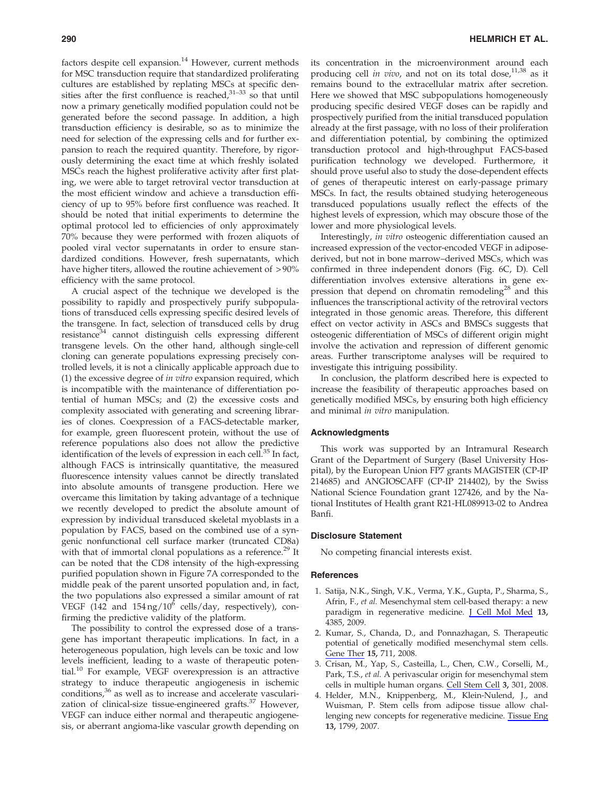factors despite cell expansion.<sup>14</sup> However, current methods for MSC transduction require that standardized proliferating cultures are established by replating MSCs at specific densities after the first confluence is reached, $31-33$  so that until now a primary genetically modified population could not be generated before the second passage. In addition, a high transduction efficiency is desirable, so as to minimize the need for selection of the expressing cells and for further expansion to reach the required quantity. Therefore, by rigorously determining the exact time at which freshly isolated MSCs reach the highest proliferative activity after first plating, we were able to target retroviral vector transduction at the most efficient window and achieve a transduction efficiency of up to 95% before first confluence was reached. It should be noted that initial experiments to determine the optimal protocol led to efficiencies of only approximately 70% because they were performed with frozen aliquots of pooled viral vector supernatants in order to ensure standardized conditions. However, fresh supernatants, which have higher titers, allowed the routine achievement of  $> 90\%$ efficiency with the same protocol.

A crucial aspect of the technique we developed is the possibility to rapidly and prospectively purify subpopulations of transduced cells expressing specific desired levels of the transgene. In fact, selection of transduced cells by drug resistance<sup>34</sup> cannot distinguish cells expressing different transgene levels. On the other hand, although single-cell cloning can generate populations expressing precisely controlled levels, it is not a clinically applicable approach due to (1) the excessive degree of in vitro expansion required, which is incompatible with the maintenance of differentiation potential of human MSCs; and (2) the excessive costs and complexity associated with generating and screening libraries of clones. Coexpression of a FACS-detectable marker, for example, green fluorescent protein, without the use of reference populations also does not allow the predictive identification of the levels of expression in each cell. $^{35}$  In fact, although FACS is intrinsically quantitative, the measured fluorescence intensity values cannot be directly translated into absolute amounts of transgene production. Here we overcame this limitation by taking advantage of a technique we recently developed to predict the absolute amount of expression by individual transduced skeletal myoblasts in a population by FACS, based on the combined use of a syngenic nonfunctional cell surface marker (truncated CD8a) with that of immortal clonal populations as a reference.<sup>29</sup> It can be noted that the CD8 intensity of the high-expressing purified population shown in Figure 7A corresponded to the middle peak of the parent unsorted population and, in fact, the two populations also expressed a similar amount of rat VEGF (142 and  $154 \text{ ng}/10^6$  cells/day, respectively), confirming the predictive validity of the platform.

The possibility to control the expressed dose of a transgene has important therapeutic implications. In fact, in a heterogeneous population, high levels can be toxic and low levels inefficient, leading to a waste of therapeutic potential.<sup>10</sup> For example, VEGF overexpression is an attractive strategy to induce therapeutic angiogenesis in ischemic conditions,<sup>36</sup> as well as to increase and accelerate vascularization of clinical-size tissue-engineered grafts. $37$  However, VEGF can induce either normal and therapeutic angiogenesis, or aberrant angioma-like vascular growth depending on its concentration in the microenvironment around each producing cell in vivo, and not on its total dose, $11,38$  as it remains bound to the extracellular matrix after secretion. Here we showed that MSC subpopulations homogeneously producing specific desired VEGF doses can be rapidly and prospectively purified from the initial transduced population already at the first passage, with no loss of their proliferation and differentiation potential, by combining the optimized transduction protocol and high-throughput FACS-based purification technology we developed. Furthermore, it should prove useful also to study the dose-dependent effects of genes of therapeutic interest on early-passage primary MSCs. In fact, the results obtained studying heterogeneous transduced populations usually reflect the effects of the highest levels of expression, which may obscure those of the lower and more physiological levels.

Interestingly, in vitro osteogenic differentiation caused an increased expression of the vector-encoded VEGF in adiposederived, but not in bone marrow–derived MSCs, which was confirmed in three independent donors (Fig. 6C, D). Cell differentiation involves extensive alterations in gene expression that depend on chromatin remodeling<sup>28</sup> and this influences the transcriptional activity of the retroviral vectors integrated in those genomic areas. Therefore, this different effect on vector activity in ASCs and BMSCs suggests that osteogenic differentiation of MSCs of different origin might involve the activation and repression of different genomic areas. Further transcriptome analyses will be required to investigate this intriguing possibility.

In conclusion, the platform described here is expected to increase the feasibility of therapeutic approaches based on genetically modified MSCs, by ensuring both high efficiency and minimal in vitro manipulation.

# Acknowledgments

This work was supported by an Intramural Research Grant of the Department of Surgery (Basel University Hospital), by the European Union FP7 grants MAGISTER (CP-IP 214685) and ANGIOSCAFF (CP-IP 214402), by the Swiss National Science Foundation grant 127426, and by the National Institutes of Health grant R21-HL089913-02 to Andrea Banfi.

#### Disclosure Statement

No competing financial interests exist.

#### References

- 1. Satija, N.K., Singh, V.K., Verma, Y.K., Gupta, P., Sharma, S., Afrin, F., et al. Mesenchymal stem cell-based therapy: a new paradigm in regenerative medicine. J Cell Mol Med 13, 4385, 2009.
- 2. Kumar, S., Chanda, D., and Ponnazhagan, S. Therapeutic potential of genetically modified mesenchymal stem cells. Gene Ther 15, 711, 2008.
- 3. Crisan, M., Yap, S., Casteilla, L., Chen, C.W., Corselli, M., Park, T.S., et al. A perivascular origin for mesenchymal stem cells in multiple human organs. Cell Stem Cell 3, 301, 2008.
- 4. Helder, M.N., Knippenberg, M., Klein-Nulend, J., and Wuisman, P. Stem cells from adipose tissue allow challenging new concepts for regenerative medicine. Tissue Eng 13, 1799, 2007.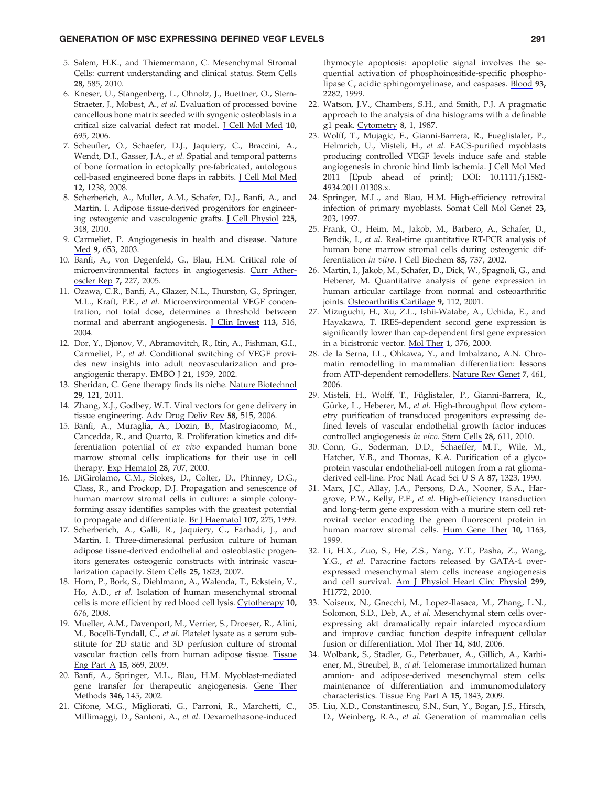- 5. Salem, H.K., and Thiemermann, C. Mesenchymal Stromal Cells: current understanding and clinical status. Stem Cells 28, 585, 2010.
- 6. Kneser, U., Stangenberg, L., Ohnolz, J., Buettner, O., Stern-Straeter, J., Mobest, A., et al. Evaluation of processed bovine cancellous bone matrix seeded with syngenic osteoblasts in a critical size calvarial defect rat model. J Cell Mol Med 10, 695, 2006.
- 7. Scheufler, O., Schaefer, D.J., Jaquiery, C., Braccini, A., Wendt, D.J., Gasser, J.A., et al. Spatial and temporal patterns of bone formation in ectopically pre-fabricated, autologous cell-based engineered bone flaps in rabbits. J Cell Mol Med 12, 1238, 2008.
- 8. Scherberich, A., Muller, A.M., Schafer, D.J., Banfi, A., and Martin, I. Adipose tissue-derived progenitors for engineering osteogenic and vasculogenic grafts. J Cell Physiol 225, 348, 2010.
- 9. Carmeliet, P. Angiogenesis in health and disease. Nature Med 9, 653, 2003.
- 10. Banfi, A., von Degenfeld, G., Blau, H.M. Critical role of microenvironmental factors in angiogenesis. Curr Atheroscler Rep 7, 227, 2005.
- 11. Ozawa, C.R., Banfi, A., Glazer, N.L., Thurston, G., Springer, M.L., Kraft, P.E., et al. Microenvironmental VEGF concentration, not total dose, determines a threshold between normal and aberrant angiogenesis. J Clin Invest 113, 516, 2004.
- 12. Dor, Y., Djonov, V., Abramovitch, R., Itin, A., Fishman, G.I., Carmeliet, P., et al. Conditional switching of VEGF provides new insights into adult neovascularization and proangiogenic therapy. EMBO J 21, 1939, 2002.
- 13. Sheridan, C. Gene therapy finds its niche. Nature Biotechnol 29, 121, 2011.
- 14. Zhang, X.J., Godbey, W.T. Viral vectors for gene delivery in tissue engineering. Adv Drug Deliv Rev 58, 515, 2006.
- 15. Banfi, A., Muraglia, A., Dozin, B., Mastrogiacomo, M., Cancedda, R., and Quarto, R. Proliferation kinetics and differentiation potential of ex vivo expanded human bone marrow stromal cells: implications for their use in cell therapy. Exp Hematol 28, 707, 2000.
- 16. DiGirolamo, C.M., Stokes, D., Colter, D., Phinney, D.G., Class, R., and Prockop, D.J. Propagation and senescence of human marrow stromal cells in culture: a simple colonyforming assay identifies samples with the greatest potential to propagate and differentiate. Br J Haematol 107, 275, 1999.
- 17. Scherberich, A., Galli, R., Jaquiery, C., Farhadi, J., and Martin, I. Three-dimensional perfusion culture of human adipose tissue-derived endothelial and osteoblastic progenitors generates osteogenic constructs with intrinsic vascularization capacity. Stem Cells 25, 1823, 2007.
- 18. Horn, P., Bork, S., Diehlmann, A., Walenda, T., Eckstein, V., Ho, A.D., et al. Isolation of human mesenchymal stromal cells is more efficient by red blood cell lysis. Cytotherapy 10, 676, 2008.
- 19. Mueller, A.M., Davenport, M., Verrier, S., Droeser, R., Alini, M., Bocelli-Tyndall, C., et al. Platelet lysate as a serum substitute for 2D static and 3D perfusion culture of stromal vascular fraction cells from human adipose tissue. Tissue Eng Part A 15, 869, 2009.
- 20. Banfi, A., Springer, M.L., Blau, H.M. Myoblast-mediated gene transfer for therapeutic angiogenesis. Gene Ther Methods 346, 145, 2002.
- 21. Cifone, M.G., Migliorati, G., Parroni, R., Marchetti, C., Millimaggi, D., Santoni, A., et al. Dexamethasone-induced

thymocyte apoptosis: apoptotic signal involves the sequential activation of phosphoinositide-specific phospholipase C, acidic sphingomyelinase, and caspases. Blood 93, 2282, 1999.

- 22. Watson, J.V., Chambers, S.H., and Smith, P.J. A pragmatic approach to the analysis of dna histograms with a definable g1 peak. Cytometry 8, 1, 1987.
- 23. Wolff, T., Mujagic, E., Gianni-Barrera, R., Fueglistaler, P., Helmrich, U., Misteli, H., et al. FACS-purified myoblasts producing controlled VEGF levels induce safe and stable angiogenesis in chronic hind limb ischemia. J Cell Mol Med 2011 [Epub ahead of print]; DOI: 10.1111/j.1582- 4934.2011.01308.x.
- 24. Springer, M.L., and Blau, H.M. High-efficiency retroviral infection of primary myoblasts. Somat Cell Mol Genet 23, 203, 1997.
- 25. Frank, O., Heim, M., Jakob, M., Barbero, A., Schafer, D., Bendik, I., et al. Real-time quantitative RT-PCR analysis of human bone marrow stromal cells during osteogenic differentiation in vitro. J Cell Biochem 85, 737, 2002.
- 26. Martin, I., Jakob, M., Schafer, D., Dick, W., Spagnoli, G., and Heberer, M. Quantitative analysis of gene expression in human articular cartilage from normal and osteoarthritic joints. Osteoarthritis Cartilage 9, 112, 2001.
- 27. Mizuguchi, H., Xu, Z.L., Ishii-Watabe, A., Uchida, E., and Hayakawa, T. IRES-dependent second gene expression is significantly lower than cap-dependent first gene expression in a bicistronic vector. Mol Ther 1, 376, 2000.
- 28. de la Serna, I.L., Ohkawa, Y., and Imbalzano, A.N. Chromatin remodelling in mammalian differentiation: lessons from ATP-dependent remodellers. Nature Rev Genet 7, 461, 2006.
- 29. Misteli, H., Wolff, T., Füglistaler, P., Gianni-Barrera, R., Gürke, L., Heberer, M., et al. High-throughput flow cytometry purification of transduced progenitors expressing defined levels of vascular endothelial growth factor induces controlled angiogenesis in vivo. Stem Cells 28, 611, 2010.
- 30. Conn, G., Soderman, D.D., Schaeffer, M.T., Wile, M., Hatcher, V.B., and Thomas, K.A. Purification of a glycoprotein vascular endothelial-cell mitogen from a rat gliomaderived cell-line. Proc Natl Acad Sci U S A 87, 1323, 1990.
- 31. Marx, J.C., Allay, J.A., Persons, D.A., Nooner, S.A., Hargrove, P.W., Kelly, P.F., et al. High-efficiency transduction and long-term gene expression with a murine stem cell retroviral vector encoding the green fluorescent protein in human marrow stromal cells. Hum Gene Ther 10, 1163, 1999.
- 32. Li, H.X., Zuo, S., He, Z.S., Yang, Y.T., Pasha, Z., Wang, Y.G., et al. Paracrine factors released by GATA-4 overexpressed mesenchymal stem cells increase angiogenesis and cell survival. Am J Physiol Heart Circ Physiol 299, H1772, 2010.
- 33. Noiseux, N., Gnecchi, M., Lopez-Ilasaca, M., Zhang, L.N., Solomon, S.D., Deb, A., et al. Mesenchymal stem cells overexpressing akt dramatically repair infarcted myocardium and improve cardiac function despite infrequent cellular fusion or differentiation. Mol Ther 14, 840, 2006.
- 34. Wolbank, S., Stadler, G., Peterbauer, A., Gillich, A., Karbiener, M., Streubel, B., et al. Telomerase immortalized human amnion- and adipose-derived mesenchymal stem cells: maintenance of differentiation and immunomodulatory characteristics. Tissue Eng Part A 15, 1843, 2009.
- 35. Liu, X.D., Constantinescu, S.N., Sun, Y., Bogan, J.S., Hirsch, D., Weinberg, R.A., et al. Generation of mammalian cells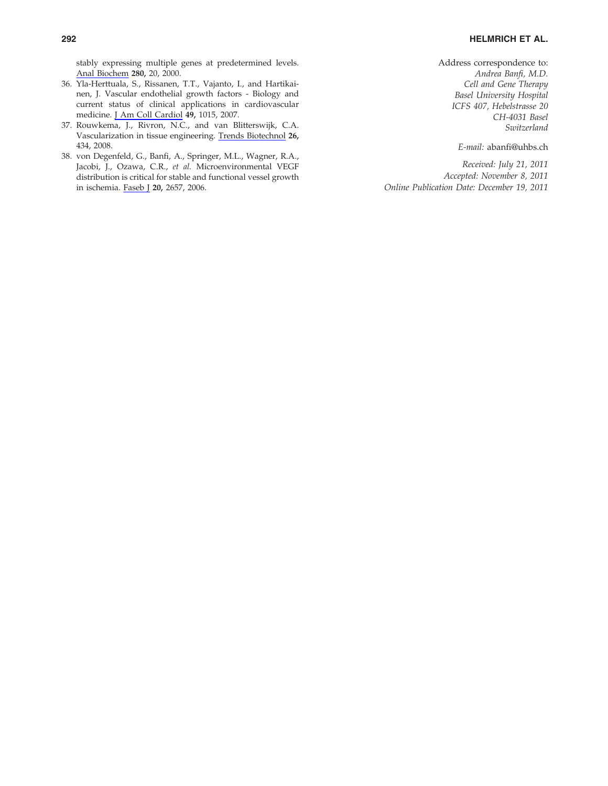stably expressing multiple genes at predetermined levels. Anal Biochem 280, 20, 2000.

- 36. Yla-Herttuala, S., Rissanen, T.T., Vajanto, I., and Hartikainen, J. Vascular endothelial growth factors - Biology and current status of clinical applications in cardiovascular medicine. J Am Coll Cardiol 49, 1015, 2007.
- 37. Rouwkema, J., Rivron, N.C., and van Blitterswijk, C.A. Vascularization in tissue engineering. Trends Biotechnol 26, 434, 2008.
- 38. von Degenfeld, G., Banfi, A., Springer, M.L., Wagner, R.A., Jacobi, J., Ozawa, C.R., et al. Microenvironmental VEGF distribution is critical for stable and functional vessel growth in ischemia. Faseb J 20, 2657, 2006.

Address correspondence to: Andrea Banfi, M.D. Cell and Gene Therapy Basel University Hospital ICFS 407, Hebelstrasse 20 CH-4031 Basel Switzerland

E-mail: abanfi@uhbs.ch

Received: July 21, 2011 Accepted: November 8, 2011 Online Publication Date: December 19, 2011